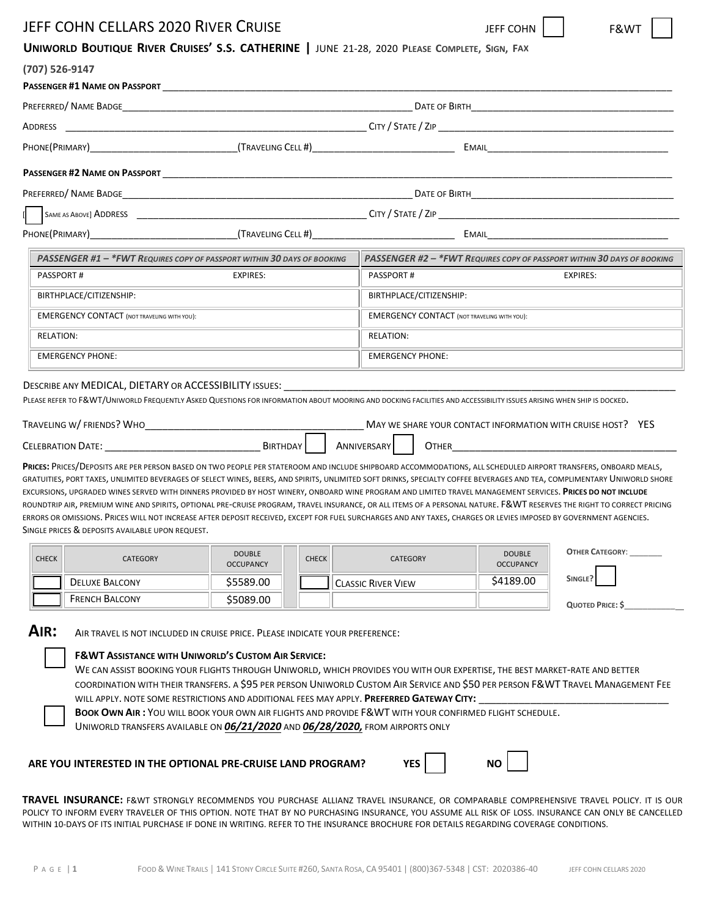| <b>JEFF COHN CELLARS 2020 RIVER CRUISE</b>                                                                                                                                                                                                                                                                                                                                                                                                                                                                                                                                                                                                                                                                                                                                                                                                                                                                                                                                                                                                                                                                                                                                                                                                                                                                                                                                                                                                                                                     | F&WT<br>JEFF COHN                                  |                                                                                                                                                                                                                                                                                                               |  |  |  |  |  |
|------------------------------------------------------------------------------------------------------------------------------------------------------------------------------------------------------------------------------------------------------------------------------------------------------------------------------------------------------------------------------------------------------------------------------------------------------------------------------------------------------------------------------------------------------------------------------------------------------------------------------------------------------------------------------------------------------------------------------------------------------------------------------------------------------------------------------------------------------------------------------------------------------------------------------------------------------------------------------------------------------------------------------------------------------------------------------------------------------------------------------------------------------------------------------------------------------------------------------------------------------------------------------------------------------------------------------------------------------------------------------------------------------------------------------------------------------------------------------------------------|----------------------------------------------------|---------------------------------------------------------------------------------------------------------------------------------------------------------------------------------------------------------------------------------------------------------------------------------------------------------------|--|--|--|--|--|
| UNIWORLD BOUTIQUE RIVER CRUISES' S.S. CATHERINE   JUNE 21-28, 2020 PLEASE COMPLETE, SIGN, FAX                                                                                                                                                                                                                                                                                                                                                                                                                                                                                                                                                                                                                                                                                                                                                                                                                                                                                                                                                                                                                                                                                                                                                                                                                                                                                                                                                                                                  |                                                    |                                                                                                                                                                                                                                                                                                               |  |  |  |  |  |
| (707) 526-9147                                                                                                                                                                                                                                                                                                                                                                                                                                                                                                                                                                                                                                                                                                                                                                                                                                                                                                                                                                                                                                                                                                                                                                                                                                                                                                                                                                                                                                                                                 |                                                    |                                                                                                                                                                                                                                                                                                               |  |  |  |  |  |
|                                                                                                                                                                                                                                                                                                                                                                                                                                                                                                                                                                                                                                                                                                                                                                                                                                                                                                                                                                                                                                                                                                                                                                                                                                                                                                                                                                                                                                                                                                |                                                    |                                                                                                                                                                                                                                                                                                               |  |  |  |  |  |
|                                                                                                                                                                                                                                                                                                                                                                                                                                                                                                                                                                                                                                                                                                                                                                                                                                                                                                                                                                                                                                                                                                                                                                                                                                                                                                                                                                                                                                                                                                |                                                    |                                                                                                                                                                                                                                                                                                               |  |  |  |  |  |
|                                                                                                                                                                                                                                                                                                                                                                                                                                                                                                                                                                                                                                                                                                                                                                                                                                                                                                                                                                                                                                                                                                                                                                                                                                                                                                                                                                                                                                                                                                |                                                    |                                                                                                                                                                                                                                                                                                               |  |  |  |  |  |
|                                                                                                                                                                                                                                                                                                                                                                                                                                                                                                                                                                                                                                                                                                                                                                                                                                                                                                                                                                                                                                                                                                                                                                                                                                                                                                                                                                                                                                                                                                |                                                    |                                                                                                                                                                                                                                                                                                               |  |  |  |  |  |
|                                                                                                                                                                                                                                                                                                                                                                                                                                                                                                                                                                                                                                                                                                                                                                                                                                                                                                                                                                                                                                                                                                                                                                                                                                                                                                                                                                                                                                                                                                |                                                    |                                                                                                                                                                                                                                                                                                               |  |  |  |  |  |
|                                                                                                                                                                                                                                                                                                                                                                                                                                                                                                                                                                                                                                                                                                                                                                                                                                                                                                                                                                                                                                                                                                                                                                                                                                                                                                                                                                                                                                                                                                |                                                    |                                                                                                                                                                                                                                                                                                               |  |  |  |  |  |
|                                                                                                                                                                                                                                                                                                                                                                                                                                                                                                                                                                                                                                                                                                                                                                                                                                                                                                                                                                                                                                                                                                                                                                                                                                                                                                                                                                                                                                                                                                |                                                    |                                                                                                                                                                                                                                                                                                               |  |  |  |  |  |
|                                                                                                                                                                                                                                                                                                                                                                                                                                                                                                                                                                                                                                                                                                                                                                                                                                                                                                                                                                                                                                                                                                                                                                                                                                                                                                                                                                                                                                                                                                |                                                    |                                                                                                                                                                                                                                                                                                               |  |  |  |  |  |
| PASSENGER #1 - *FWT REQUIRES COPY OF PASSPORT WITHIN 30 DAYS OF BOOKING                                                                                                                                                                                                                                                                                                                                                                                                                                                                                                                                                                                                                                                                                                                                                                                                                                                                                                                                                                                                                                                                                                                                                                                                                                                                                                                                                                                                                        |                                                    | PASSENGER #2 - *FWT REQUIRES COPY OF PASSPORT WITHIN 30 DAYS OF BOOKING                                                                                                                                                                                                                                       |  |  |  |  |  |
| <b>PASSPORT#</b><br>EXPIRES:                                                                                                                                                                                                                                                                                                                                                                                                                                                                                                                                                                                                                                                                                                                                                                                                                                                                                                                                                                                                                                                                                                                                                                                                                                                                                                                                                                                                                                                                   |                                                    | <b>PASSPORT#</b><br>EXPIRES:                                                                                                                                                                                                                                                                                  |  |  |  |  |  |
| BIRTHPLACE/CITIZENSHIP:                                                                                                                                                                                                                                                                                                                                                                                                                                                                                                                                                                                                                                                                                                                                                                                                                                                                                                                                                                                                                                                                                                                                                                                                                                                                                                                                                                                                                                                                        | BIRTHPLACE/CITIZENSHIP:                            |                                                                                                                                                                                                                                                                                                               |  |  |  |  |  |
| <b>EMERGENCY CONTACT (NOT TRAVELING WITH YOU):</b>                                                                                                                                                                                                                                                                                                                                                                                                                                                                                                                                                                                                                                                                                                                                                                                                                                                                                                                                                                                                                                                                                                                                                                                                                                                                                                                                                                                                                                             | <b>EMERGENCY CONTACT (NOT TRAVELING WITH YOU):</b> |                                                                                                                                                                                                                                                                                                               |  |  |  |  |  |
| <b>RELATION:</b>                                                                                                                                                                                                                                                                                                                                                                                                                                                                                                                                                                                                                                                                                                                                                                                                                                                                                                                                                                                                                                                                                                                                                                                                                                                                                                                                                                                                                                                                               | <b>RELATION:</b>                                   |                                                                                                                                                                                                                                                                                                               |  |  |  |  |  |
| <b>EMERGENCY PHONE:</b>                                                                                                                                                                                                                                                                                                                                                                                                                                                                                                                                                                                                                                                                                                                                                                                                                                                                                                                                                                                                                                                                                                                                                                                                                                                                                                                                                                                                                                                                        |                                                    | <b>EMERGENCY PHONE:</b>                                                                                                                                                                                                                                                                                       |  |  |  |  |  |
| DESCRIBE ANY MEDICAL, DIETARY OR ACCESSIBILITY ISSUES: _________________________<br>PLEASE REFER TO F&WT/UNIWORLD FREQUENTLY ASKED QUESTIONS FOR INFORMATION ABOUT MOORING AND DOCKING FACILITIES AND ACCESSIBILITY ISSUES ARISING WHEN SHIP IS DOCKED.<br>TRAVELING W/FRIENDS? WHO<br>MAY WE SHARE YOUR CONTACT INFORMATION WITH CRUISE HOST? YES<br><b>OTHER CONSTRUCTER CONSTRUCTER CONSTRUCTER</b><br>PRICES: PRICES/DEPOSITS ARE PER PERSON BASED ON TWO PEOPLE PER STATEROOM AND INCLUDE SHIPBOARD ACCOMMODATIONS, ALL SCHEDULED AIRPORT TRANSFERS, ONBOARD MEALS,<br>GRATUITIES, PORT TAXES, UNLIMITED BEVERAGES OF SELECT WINES, BEERS, AND SPIRITS, UNLIMITED SOFT DRINKS, SPECIALTY COFFEE BEVERAGES AND TEA, COMPLIMENTARY UNIWORLD SHORE<br>EXCURSIONS, UPGRADED WINES SERVED WITH DINNERS PROVIDED BY HOST WINERY, ONBOARD WINE PROGRAM AND LIMITED TRAVEL MANAGEMENT SERVICES. PRICES DO NOT INCLUDE<br>ROUNDTRIP AIR, PREMIUM WINE AND SPIRITS, OPTIONAL PRE-CRUISE PROGRAM, TRAVEL INSURANCE, OR ALL ITEMS OF A PERSONAL NATURE. F&WT RESERVES THE RIGHT TO CORRECT PRICING<br>ERRORS OR OMISSIONS. PRICES WILL NOT INCREASE AFTER DEPOSIT RECEIVED, EXCEPT FOR FUEL SURCHARGES AND ANY TAXES, CHARGES OR LEVIES IMPOSED BY GOVERNMENT AGENCIES.<br>SINGLE PRICES & DEPOSITS AVAILABLE UPON REQUEST.<br><b>OTHER CATEGORY:</b><br><b>DOUBLE</b><br><b>DOUBLE</b><br><b>CHECK</b><br><b>CHECK</b><br><b>CATEGORY</b><br><b>CATEGORY</b><br><b>OCCUPANCY</b><br><b>OCCUPANCY</b> |                                                    |                                                                                                                                                                                                                                                                                                               |  |  |  |  |  |
| <b>DELUXE BALCONY</b><br>\$5589.00<br><b>FRENCH BALCONY</b>                                                                                                                                                                                                                                                                                                                                                                                                                                                                                                                                                                                                                                                                                                                                                                                                                                                                                                                                                                                                                                                                                                                                                                                                                                                                                                                                                                                                                                    |                                                    | SINGLE?<br>\$4189.00<br><b>CLASSIC RIVER VIEW</b>                                                                                                                                                                                                                                                             |  |  |  |  |  |
| \$5089.00<br>AIR:<br>AIR TRAVEL IS NOT INCLUDED IN CRUISE PRICE. PLEASE INDICATE YOUR PREFERENCE:<br><b>F&amp;WT ASSISTANCE WITH UNIWORLD'S CUSTOM AIR SERVICE:</b><br>WILL APPLY. NOTE SOME RESTRICTIONS AND ADDITIONAL FEES MAY APPLY. PREFERRED GATEWAY CITY:<br>BOOK OWN AIR: YOU WILL BOOK YOUR OWN AIR FLIGHTS AND PROVIDE F&WT WITH YOUR CONFIRMED FLIGHT SCHEDULE.<br>UNIWORLD TRANSFERS AVAILABLE ON 06/21/2020 AND 06/28/2020, FROM AIRPORTS ONLY<br>ARE YOU INTERESTED IN THE OPTIONAL PRE-CRUISE LAND PROGRAM?                                                                                                                                                                                                                                                                                                                                                                                                                                                                                                                                                                                                                                                                                                                                                                                                                                                                                                                                                                     |                                                    | QUOTED PRICE: \$<br>WE CAN ASSIST BOOKING YOUR FLIGHTS THROUGH UNIWORLD, WHICH PROVIDES YOU WITH OUR EXPERTISE, THE BEST MARKET-RATE AND BETTER<br>COORDINATION WITH THEIR TRANSFERS. A \$95 PER PERSON UNIWORLD CUSTOM AIR SERVICE AND \$50 PER PERSON F&WT TRAVEL MANAGEMENT FEE<br><b>NO</b><br><b>YES</b> |  |  |  |  |  |
| WITHIN 10-DAYS OF ITS INITIAL PURCHASE IF DONE IN WRITING. REFER TO THE INSURANCE BROCHURE FOR DETAILS REGARDING COVERAGE CONDITIONS.                                                                                                                                                                                                                                                                                                                                                                                                                                                                                                                                                                                                                                                                                                                                                                                                                                                                                                                                                                                                                                                                                                                                                                                                                                                                                                                                                          |                                                    | TRAVEL INSURANCE: F&WT STRONGLY RECOMMENDS YOU PURCHASE ALLIANZ TRAVEL INSURANCE, OR COMPARABLE COMPREHENSIVE TRAVEL POLICY. IT IS OUR<br>POLICY TO INFORM EVERY TRAVELER OF THIS OPTION. NOTE THAT BY NO PURCHASING INSURANCE, YOU ASSUME ALL RISK OF LOSS. INSURANCE CAN ONLY BE CANCELLED                  |  |  |  |  |  |